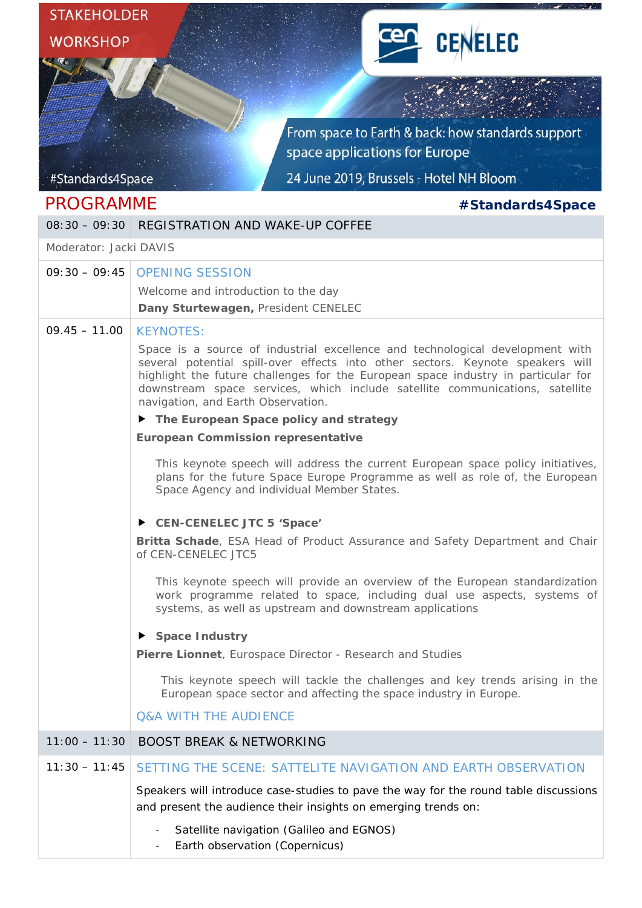| <b>STAKEHOLDER</b>                |                                                                                                                                                                                                                                                                                                                                                                            |
|-----------------------------------|----------------------------------------------------------------------------------------------------------------------------------------------------------------------------------------------------------------------------------------------------------------------------------------------------------------------------------------------------------------------------|
| <b>CENELEC</b><br><b>WORKSHOP</b> |                                                                                                                                                                                                                                                                                                                                                                            |
|                                   |                                                                                                                                                                                                                                                                                                                                                                            |
|                                   |                                                                                                                                                                                                                                                                                                                                                                            |
|                                   |                                                                                                                                                                                                                                                                                                                                                                            |
|                                   | From space to Earth & back: how standards support<br>space applications for Europe                                                                                                                                                                                                                                                                                         |
| #Standards4Space                  | 24 June 2019, Brussels - Hotel NH Bloom                                                                                                                                                                                                                                                                                                                                    |
| <b>PROGRAMME</b>                  |                                                                                                                                                                                                                                                                                                                                                                            |
| $08:30 - 09:30$                   | #Standards4Space<br><b>REGISTRATION AND WAKE-UP COFFEE</b>                                                                                                                                                                                                                                                                                                                 |
| Moderator: Jacki DAVIS            |                                                                                                                                                                                                                                                                                                                                                                            |
| $09:30 - 09:45$                   | <b>OPENING SESSION</b>                                                                                                                                                                                                                                                                                                                                                     |
|                                   | Welcome and introduction to the day                                                                                                                                                                                                                                                                                                                                        |
|                                   | Dany Sturtewagen, President CENELEC                                                                                                                                                                                                                                                                                                                                        |
| $09.45 - 11.00$                   | <b>KEYNOTES:</b>                                                                                                                                                                                                                                                                                                                                                           |
|                                   | Space is a source of industrial excellence and technological development with<br>several potential spill-over effects into other sectors. Keynote speakers will<br>highlight the future challenges for the European space industry in particular for<br>downstream space services, which include satellite communications, satellite<br>navigation, and Earth Observation. |
|                                   | The European Space policy and strategy                                                                                                                                                                                                                                                                                                                                     |
|                                   | <b>European Commission representative</b>                                                                                                                                                                                                                                                                                                                                  |
|                                   | This keynote speech will address the current European space policy initiatives,<br>plans for the future Space Europe Programme as well as role of, the European<br>Space Agency and individual Member States.                                                                                                                                                              |
|                                   | CEN-CENELEC JTC 5 'Space'                                                                                                                                                                                                                                                                                                                                                  |
|                                   | Britta Schade, ESA Head of Product Assurance and Safety Department and Chair<br>of CEN-CENELEC JTC5                                                                                                                                                                                                                                                                        |
|                                   | This keynote speech will provide an overview of the European standardization<br>work programme related to space, including dual use aspects, systems of<br>systems, as well as upstream and downstream applications                                                                                                                                                        |
|                                   | Space Industry                                                                                                                                                                                                                                                                                                                                                             |
|                                   | Pierre Lionnet, Eurospace Director - Research and Studies                                                                                                                                                                                                                                                                                                                  |
|                                   | This keynote speech will tackle the challenges and key trends arising in the<br>European space sector and affecting the space industry in Europe.                                                                                                                                                                                                                          |
|                                   | <b>Q&amp;A WITH THE AUDIENCE</b>                                                                                                                                                                                                                                                                                                                                           |
|                                   | 11:00 - 11:30 BOOST BREAK & NETWORKING                                                                                                                                                                                                                                                                                                                                     |
| $11:30 - 11:45$                   | SETTING THE SCENE: SATTELITE NAVIGATION AND EARTH OBSERVATION                                                                                                                                                                                                                                                                                                              |
|                                   | Speakers will introduce case-studies to pave the way for the round table discussions<br>and present the audience their insights on emerging trends on:                                                                                                                                                                                                                     |
|                                   | Satellite navigation (Galileo and EGNOS)<br>$\overline{\phantom{a}}$<br>Earth observation (Copernicus)                                                                                                                                                                                                                                                                     |